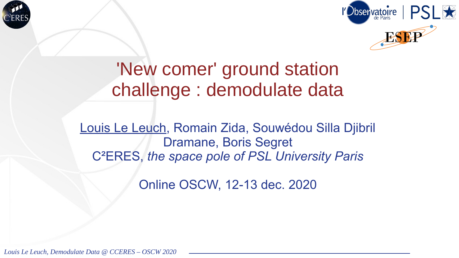

# 'New comer' ground station challenge : demodulate data

Louis Le Leuch, Romain Zida, Souwédou Silla Djibril Dramane, Boris Segret C²ERES, *the space pole of PSL University Paris*

Online OSCW, 12-13 dec. 2020

*Louis Le Leuch, Demodulate Data @ CCERES – OSCW 2020*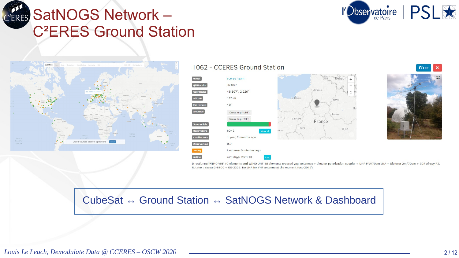## **CERES** SatNOGS Network -C²ERES Ground Station





#### 1062 - CCERES Ground Station





Directionnal WIMO VHF 10 elements and WIMO UHF 18 elements crossed yagi antennas + circular polarization coupler + UHF MVV70cm LNA + Diplexer 2m/70cm + SDR Airspy R2. Rotator: Yaesu G-5500 + GS-232B, No LNA for VHF antenna at the moment (oct-2019)

### CubeSat ↔ Ground Station ↔ SatNOGS Network & Dashboard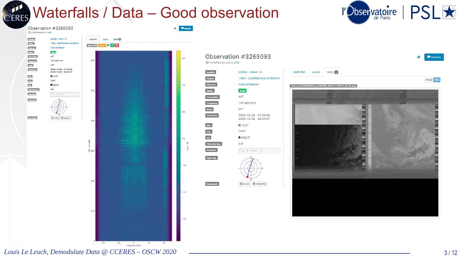## **CERES Waterfalls / Data – Good observation**



| Observation #3265093<br>@hindranacare.nume                                                                                                |                                                    | <b>Posts</b>             |                                                                                                       |                                                                                                  |                   |
|-------------------------------------------------------------------------------------------------------------------------------------------|----------------------------------------------------|--------------------------|-------------------------------------------------------------------------------------------------------|--------------------------------------------------------------------------------------------------|-------------------|
| 20039-1004-12<br><b>TERRIT</b><br>1002 - DOCKER BROUND SEADOR<br><b>Control</b><br>sure acheduler<br><b>Chines</b><br><b>County</b><br>Î, | vaseful sate ora@<br><b>System Dennis C. P. R.</b> |                          |                                                                                                       |                                                                                                  |                   |
| <b>Contract</b><br><b>SPT</b><br><b>Beganity</b><br>127.030 MHZ<br><b>COMPOS</b><br><b>SPT</b><br><b>Distances</b><br>2020-10-00 07:33:00 | 440                                                |                          | Observation #3265093<br>© Timeframes are in UTC                                                       |                                                                                                  | $\blacksquare$ bi |
| 2020-10-00 00:03:37<br>O(120)<br><b>CO</b><br>78.07<br><b>CO</b><br>C.<br><b>O</b> sea of<br><b>DB</b>                                    |                                                    | $-76$                    | Satellite<br>25338 - NOAA 15<br>Station<br>1062 - CCERES Ground Station<br>Observer<br>Auto Scheduler | Data <sup>1</sup><br>Waterfall<br>Audio<br>data_obs/3265093/data_3265093_2020-12-08T07-53-05.png | ASCII             |
| <b>Christman</b><br><b>Common</b><br>$\frac{1}{2}$ [ $\pm$ 0.000 $\pm$ ].<br><b>DOM:</b>                                                  | 500                                                |                          | <b>Status</b><br>Good<br>APT<br><b>Transmitter</b><br>Frequency<br>137.620 MHZ                        |                                                                                                  |                   |
| <b>Record</b><br>Grand Ground                                                                                                             | 403                                                |                          | Mode<br>APT<br>Timeframe<br>2020-12-08 07:53:05<br>2020-12-08 08:03:37<br>Rise<br>$O$ 13.0°           |                                                                                                  |                   |
|                                                                                                                                           |                                                    |                          | $_{\text{Max}}$<br>79.0°<br>$\operatorname{\mathsf{Set}}$<br>•202.0°<br><b>Client Version</b><br>0.9  |                                                                                                  |                   |
|                                                                                                                                           | km                                                 |                          | Metadata<br>$\triangleright$ { 5 items }<br>Polar Plot                                                |                                                                                                  |                   |
|                                                                                                                                           | 200                                                |                          |                                                                                                       |                                                                                                  |                   |
|                                                                                                                                           |                                                    | $180 - 150$              | 4 Audio 4 Waterfall<br><b>Examples</b>                                                                |                                                                                                  |                   |
|                                                                                                                                           | 10                                                 |                          |                                                                                                       |                                                                                                  |                   |
|                                                                                                                                           |                                                    |                          |                                                                                                       |                                                                                                  |                   |
|                                                                                                                                           | $-10$<br>$-20$<br>. .<br>Frequency (sinc)          | $28 -$<br>$\overline{M}$ |                                                                                                       |                                                                                                  |                   |

*Louis Le Leuch, Demodulate Data @ CCERES – OSCW 2020*  $\qquad$  **2008** 3/12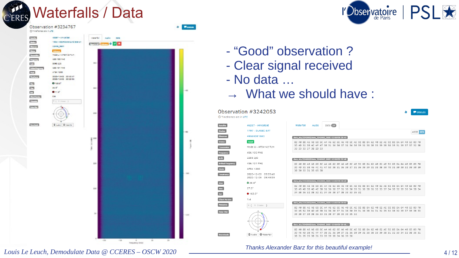| <b>TANK</b><br><b>COM</b><br><b>Church</b><br><b>Chan</b>                                         | essay - ampaigat<br>1002 - OCCRES BROUND SERIOR<br><b>CORRECTABIN</b>                                                         | vacar'all<br>audio<br>38 - IX<br><b>Bysilvin</b> | 214 |       |
|---------------------------------------------------------------------------------------------------|-------------------------------------------------------------------------------------------------------------------------------|--------------------------------------------------|-----|-------|
| <b>Contract</b><br><b>Begang</b><br><b>PAT</b><br><b>Scholtesung</b><br>$15-3$<br><b>Contract</b> | Modelu - antiknika musi<br>630.100 MHz<br>2282 000<br>420.101.1942<br>8736.1300<br>2020-10-02 20:40:47<br>2020-10-02 20:32:03 | <b>HO</b>                                        |     |       |
| <b>CO</b><br><b>CSI</b><br>m<br><b>Clustification</b><br>powers.                                  | O(1255)<br>$24.5^{\circ}$<br>0.11.0<br>$\mathbf{z}$<br>PI 6 Sinns 1                                                           | MH)                                              |     | $+00$ |
| <b>DOM NO</b><br><b>Document</b>                                                                  | <b>Bone</b> Boards                                                                                                            | 158                                              |     | $-40$ |
|                                                                                                   |                                                                                                                               | ľ<br>î                                           |     |       |
|                                                                                                   |                                                                                                                               | 130                                              |     | -346  |
|                                                                                                   |                                                                                                                               | 120                                              |     |       |
|                                                                                                   |                                                                                                                               |                                                  |     | 100   |



- "Good" observation ?
- Clear signal received
- No data …

 $\rightarrow$  What we should have :

| <b>C</b> Timeframes are in UTC | Observation #3242053                       |                                                                                                                                                                                                                                        | Discuss  |
|--------------------------------|--------------------------------------------|----------------------------------------------------------------------------------------------------------------------------------------------------------------------------------------------------------------------------------------|----------|
| <b>Satellite</b>               | 46287 - AmicalSat                          | Data $(27)$<br>Waterfall<br>Audio                                                                                                                                                                                                      |          |
|                                | 1797 - DI 4FFC-SAT                         |                                                                                                                                                                                                                                        | ASCII HD |
| )bserve                        | <b>Alexander Barz</b>                      | data obs/3242053/data 3242053 2020-12-05T09-39-47                                                                                                                                                                                      |          |
| <b>Status</b>                  | Good                                       | 82 A0 88 A6 A8 68 6C A4 A6 62 6E A6 40 6C AE 92 88 8A 62 40 62 AE 92 88 8A 64 40 63 03 F0                                                                                                                                              |          |
|                                | Mode U - AFSK1k2 TLM                       | 3D 4D 31 3B 4C 4F 47 3B 31 36 30 37 31 36 30 39 31 38 3B 33 39 3B 38 35 31 39 37 37 32 3B<br>33 33 33 37 3B 2D 33                                                                                                                      |          |
| Frequency                      | 436 100 MHz                                |                                                                                                                                                                                                                                        |          |
| Drift                          | 2293 ppb                                   | data obs/3242053/data 3242053 2020-12-05T09-39-48                                                                                                                                                                                      |          |
| <b>Drifted Frequency</b>       | 436.101 MHz                                | 82 A0 88 A6 A8 68 6C A4 A6 62 6E A6 40 6C AE 92 88 8A 62 40 62 AE 92 88 8A 64 40 63 03 F0                                                                                                                                              |          |
|                                | AFSK 1200                                  | 3D 4D 31 3B 46 4C 41 47 53 3B 31 36 30 37 31 36 30 39 31 38 38 30 78 31 30 30 32 30 30 30<br>30 30 33 31 35 65 3B                                                                                                                      |          |
| Timeframe                      | 2020-12-05 09:39:40<br>2020-12-05 09:49:03 |                                                                                                                                                                                                                                        |          |
| Rise                           | $O26.0^\circ$                              | data obs/3242053/data 3242053 2020-12-05T09-39-49                                                                                                                                                                                      |          |
|                                | 27.0°                                      | 82 A0 88 A6 A8 68 6C A4 A6 62 6E A6 40 6C AE 92 88 8A 62 40 62 AE 92 88 8A 64 40 63 03 F0<br>3D 45 4D 3B 4D 4E 3B 31 36 30 37 31 36 30 39 31 38 3B 31 32 33 37 34 3B 32 39 36 34 3B 34                                                 |          |
| Set                            | $0.162.0^{\circ}$                          | 34 3B 36 32 3B 32 31 34 35 3B 37 3B 33 33 35 32                                                                                                                                                                                        |          |
| <b>Client Version</b>          | 1.4                                        |                                                                                                                                                                                                                                        |          |
|                                | $\blacktriangleright$ { 5 items }          | data obs/3242053/data 3242053 2020-12-05T09-39-50                                                                                                                                                                                      |          |
| olar Plo                       |                                            | 82 A0 88 A6 A8 68 6C A4 A6 62 6E A6 40 6C AE 92 88 8A 62 40 62 AE 92 88 8A 64 40 63 03 F0<br>3D 45 52 3B 4D 4E 3B 31 36 30 37 31 36 30 39 31 38 3B 31 31 32 35 32 3B 32 39 37 39 3B 33<br>39 38 37 30 38 36 33 31 38 37 38 33 33 35 32 |          |
|                                |                                            | data obs/3242053/data 3242053 2020-12-05T09-39-50 1                                                                                                                                                                                    |          |
|                                | 4 Waterfall<br>(4) Audio                   | 82 A0 88 A6 A8 68 6C A4 A6 62 6E A6 40 6C AE 92 88 8A 62 40 62 AE 92 88 8A 64 40 63 03 F0<br>3D 45 4D 3B 4C 4F 47 3B 31 36 30 37 31 36 30 39 31 38 3B 33 39 3B 31 32 33 34 32 3B 35 31<br>3B 31 35 35 3B 31 33 39 39 38 34 36 39 38    |          |

#### *Thanks Alexander Barz for this beautiful example!*

*Louis Le Leuch, Demodulate Data @ CCERES – OSCW 2020* 4/12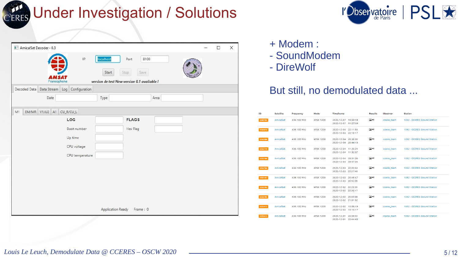

| AmicalSat Decoder - 0.3        |                               |                          |                                                                             |      | $\Box$ | $\times$ |         |                         |  |
|--------------------------------|-------------------------------|--------------------------|-----------------------------------------------------------------------------|------|--------|----------|---------|-------------------------|--|
| <b>AMSAT</b><br>Francophone    | IP                            | localhost<br>Start       | 8100<br>Port<br>Stop<br>Save<br>version de test New version 0.1 available ! |      |        |          |         | + Mo<br>- Sou<br>- Dire |  |
| Decoded Data<br>Date           | Data Stream Log Configuration | Type                     |                                                                             | Area |        |          |         | <b>But s</b>            |  |
| EM/MR V1/U2 A1 CU_R/CU_L<br>M1 |                               |                          |                                                                             |      |        |          | ID      | <b>Satellite</b>        |  |
|                                | LOG                           |                          | <b>FLAGS</b>                                                                |      |        |          | 3260762 | AmicalSat               |  |
|                                | Boot number                   |                          | Hex Flag                                                                    |      |        |          | 3244310 | AmicalSat               |  |
|                                | Up time                       |                          |                                                                             |      |        |          | 3244309 | AmicalSat               |  |
|                                | CPU voltage                   |                          |                                                                             |      |        |          | 3234770 | AmicalSat               |  |
|                                | CPU temperature               |                          |                                                                             |      |        |          | 3234769 | AmicalSat               |  |
|                                |                               |                          |                                                                             |      |        |          | 3234768 | AmicalSat               |  |
|                                |                               |                          |                                                                             |      |        |          | 3234767 | AmicalSat               |  |
|                                |                               |                          |                                                                             |      |        |          | 3234764 | AmicalSat               |  |
|                                |                               |                          |                                                                             |      |        |          | 3234763 | AmicalSat               |  |
|                                |                               | <b>Application Ready</b> | Frame: 0                                                                    |      |        |          | 3222413 | AmicalSat               |  |
|                                |                               |                          |                                                                             |      |        |          | 3222412 | AmicalSat               |  |



- dem :
- **undModem**
- eWolf

### still, no demodulated data ...

| ID      | <b>Satellite</b> | Frequency   | Mode             | Timeframe                                     | <b>Results</b>            | Observer    | <b>Station</b>               |
|---------|------------------|-------------|------------------|-----------------------------------------------|---------------------------|-------------|------------------------------|
| 3260762 | AmicalSat        | 436.100 MHz | <b>AFSK 1200</b> | 2020-12-07 10:59:18<br>2020-12-07 11:07:04    | $24 - 9$                  | cceres team | 1062 - CCERES Ground Station |
| 3244310 | AmicalSat        | 436.100 MHz | <b>AFSK 1200</b> | 2020-12-04 22:11:54<br>2020-12-04 22:19:17    | $2 - 40$                  | cceres team | 1062 - CCERES Ground Station |
| 3244309 | AmicalSat        | 436.100 MHz | <b>AFSK 1200</b> | 2020-12-04 20:38:30<br>2020-12-04 20:44:15    | $2 - 40$                  | cceres team | 1062 - CCERES Ground Station |
| 3234770 | AmicalSat        | 436.100 MHz | <b>AFSK 1200</b> | 2020-12-04 11:25:24<br>2020-12-04 11:32:37    | $\mathbf{E} = \mathbf{0}$ | cceres team | 1062 - CCERES Ground Station |
| 3234769 | AmicalSat        | 436.100 MHz | <b>AFSK 1200</b> | 2020-12-04 09:51:26<br>2020-12-04 09:57:24    | 24(4)                     | cceres team | 1062 - CCERES Ground Station |
| 3234768 | AmicalSat        | 436.100 MHz | <b>AFSK 1200</b> | 2020-12-03 22:20:44<br>2020-12-03 22:27:48    | $24 - 9$                  | cceres team | 1062 - CCERES Ground Station |
| 3234767 | AmicalSat        | 436.100 MHz | <b>AFSK 1200</b> | 2020-12-03 20:46:47<br>2020-12-03 20:53:05    | $24 - 9$                  | cceres team | 1062 - CCERES Ground Station |
| 3234764 | AmicalSat        | 436.100 MHz | <b>AFSK 1200</b> | 2020-12-02 22:29:36<br>2020-12-02 22:36:17    | 24 (0)                    | cceres team | 1062 - CCERES Ground Station |
| 3234763 | AmicalSat        | 436.100 MHz | <b>AFSK 1200</b> | 2020-12-02 20:55:08<br>2020-12-02 21:01:52    | $2 - 40$                  | cceres team | 1062 - CCERES Ground Station |
| 3222413 | AmicalSat        | 436.100 MHz | <b>AFSK 1200</b> | 2020-12-02 10:08:19<br>2020-12-02 10:15:17    | 24(4)                     | cceres team | 1062 - CCERES Ground Station |
| 3222412 | AmicalSat        | 436.100 MHz | <b>AFSK 1200</b> | 2020-12-01<br>22:38:33<br>2020-12-01 22:44:43 | $24 - 9$                  | cceres team | 1062 - CCERES Ground Station |